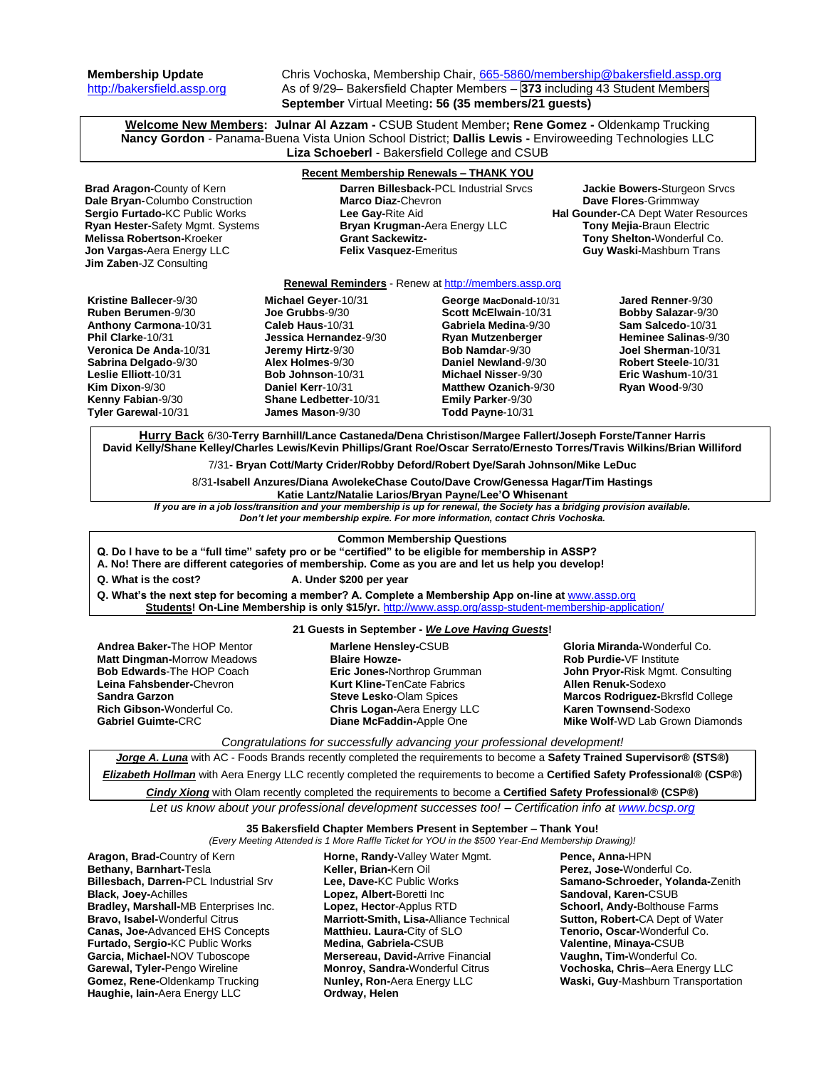**Membership Update** Chris Vochoska, Membership Chair, [665-5860/membership@bakersfield.assp.org](mailto:665-5860/membership@bakersfield.assp.org) [http://bakersfield.assp.org](http://bakersfield.assp.org/) As of 9/29– Bakersfield Chapter Members – **373** including 43 Student Members **September** Virtual Meeting**: 56 (35 members/21 guests)**

**Welcome New Members: Julnar Al Azzam -** CSUB Student Member**; Rene Gomez -** Oldenkamp Trucking **Nancy Gordon** - Panama-Buena Vista Union School District; **Dallis Lewis -** Enviroweeding Technologies LLC **Liza Schoeberl** - Bakersfield College and CSUB

| <b>Recent Membership Renewals - THANK YOU</b>                                                                                                                                                                                                                                                                                                                                                                    |                                                                                                                                                                                                                      |                                                                                                                                                                                                                                             |                                                                                                                                                                                                                                 |
|------------------------------------------------------------------------------------------------------------------------------------------------------------------------------------------------------------------------------------------------------------------------------------------------------------------------------------------------------------------------------------------------------------------|----------------------------------------------------------------------------------------------------------------------------------------------------------------------------------------------------------------------|---------------------------------------------------------------------------------------------------------------------------------------------------------------------------------------------------------------------------------------------|---------------------------------------------------------------------------------------------------------------------------------------------------------------------------------------------------------------------------------|
| Brad Aragon-County of Kern<br>Dale Bryan-Columbo Construction<br>Sergio Furtado-KC Public Works<br>Ryan Hester-Safety Mgmt. Systems<br><b>Melissa Robertson-Kroeker</b><br>Jon Vargas-Aera Energy LLC<br>Jim Zaben-JZ Consulting                                                                                                                                                                                 | Darren Billesback-PCL Industrial Srvcs<br>Marco Diaz-Chevron<br>Lee Gay-Rite Aid<br>Bryan Krugman-Aera Energy LLC<br><b>Grant Sackewitz-</b><br><b>Felix Vasquez-Emeritus</b>                                        |                                                                                                                                                                                                                                             | Jackie Bowers-Sturgeon Srvcs<br>Dave Flores-Grimmway<br>Hal Gounder-CA Dept Water Resources<br>Tony Mejia-Braun Electric<br>Tony Shelton-Wonderful Co.<br>Guy Waski-Mashburn Trans                                              |
| Renewal Reminders - Renew at http://members.assp.org                                                                                                                                                                                                                                                                                                                                                             |                                                                                                                                                                                                                      |                                                                                                                                                                                                                                             |                                                                                                                                                                                                                                 |
| Kristine Ballecer-9/30<br><b>Ruben Berumen-9/30</b><br>Anthony Carmona-10/31<br>Phil Clarke-10/31<br>Veronica De Anda-10/31<br>Sabrina Delgado-9/30<br>Leslie Elliott-10/31<br>Kim Dixon-9/30<br>Kenny Fabian-9/30<br>Tyler Garewal-10/31                                                                                                                                                                        | Michael Geyer-10/31<br>Joe Grubbs-9/30<br>Caleb Haus-10/31<br>Jessica Hernandez-9/30<br>Jeremy Hirtz-9/30<br>Alex Holmes-9/30<br>Bob Johnson-10/31<br>Daniel Kerr-10/31<br>Shane Ledbetter-10/31<br>James Mason-9/30 | George MacDonald-10/31<br>Scott McElwain-10/31<br>Gabriela Medina-9/30<br>Ryan Mutzenberger<br>Bob Namdar-9/30<br>Daniel Newland-9/30<br><b>Michael Nisser-9/30</b><br><b>Matthew Ozanich-9/30</b><br>Emily Parker-9/30<br>Todd Payne-10/31 | Jared Renner-9/30<br>Bobby Salazar-9/30<br>Sam Salcedo-10/31<br>Heminee Salinas-9/30<br>Joel Sherman-10/31<br>Robert Steele-10/31<br>Eric Washum-10/31<br>Ryan Wood-9/30                                                        |
| Hurry Back 6/30-Terry Barnhill/Lance Castaneda/Dena Christison/Margee Fallert/Joseph Forste/Tanner Harris<br>David Kelly/Shane Kelley/Charles Lewis/Kevin Phillips/Grant Roe/Oscar Serrato/Ernesto Torres/Travis Wilkins/Brian Williford<br>7/31- Bryan Cott/Marty Crider/Robby Deford/Robert Dye/Sarah Johnson/Mike LeDuc<br>8/31-Isabell Anzures/Diana AwolekeChase Couto/Dave Crow/Genessa Hagar/Tim Hastings |                                                                                                                                                                                                                      |                                                                                                                                                                                                                                             |                                                                                                                                                                                                                                 |
| Katie Lantz/Natalie Larios/Bryan Payne/Lee'O Whisenant<br>If you are in a job loss/transition and your membership is up for renewal, the Society has a bridging provision available.                                                                                                                                                                                                                             |                                                                                                                                                                                                                      |                                                                                                                                                                                                                                             |                                                                                                                                                                                                                                 |
| Don't let your membership expire. For more information, contact Chris Vochoska.                                                                                                                                                                                                                                                                                                                                  |                                                                                                                                                                                                                      |                                                                                                                                                                                                                                             |                                                                                                                                                                                                                                 |
| <b>Common Membership Questions</b><br>Q. Do I have to be a "full time" safety pro or be "certified" to be eligible for membership in ASSP?<br>A. No! There are different categories of membership. Come as you are and let us help you develop!                                                                                                                                                                  |                                                                                                                                                                                                                      |                                                                                                                                                                                                                                             |                                                                                                                                                                                                                                 |
| Q. What is the cost?<br>A. Under \$200 per year                                                                                                                                                                                                                                                                                                                                                                  |                                                                                                                                                                                                                      |                                                                                                                                                                                                                                             |                                                                                                                                                                                                                                 |
| Q. What's the next step for becoming a member? A. Complete a Membership App on-line at www.assp.org<br>Students! On-Line Membership is only \$15/yr. http://www.assp.org/assp-student-membership-application/                                                                                                                                                                                                    |                                                                                                                                                                                                                      |                                                                                                                                                                                                                                             |                                                                                                                                                                                                                                 |
| 21 Guests in September - We Love Having Guests!                                                                                                                                                                                                                                                                                                                                                                  |                                                                                                                                                                                                                      |                                                                                                                                                                                                                                             |                                                                                                                                                                                                                                 |
| <b>Andrea Baker-The HOP Mentor</b><br><b>Matt Dingman-Morrow Meadows</b><br>Bob Edwards-The HOP Coach<br>Leina Fahsbender-Chevron<br><b>Sandra Garzon</b><br>Rich Gibson-Wonderful Co.<br><b>Gabriel Guimte-CRC</b>                                                                                                                                                                                              | Marlene Hensley-CSUB<br><b>Blaire Howze-</b><br>Eric Jones-Northrop Grumman<br><b>Kurt Kline-TenCate Fabrics</b><br><b>Steve Lesko-Olam Spices</b><br>Chris Logan-Aera Energy LLC<br>Diane McFaddin-Apple One        |                                                                                                                                                                                                                                             | Gloria Miranda-Wonderful Co.<br>Rob Purdie-VF Institute<br>John Pryor-Risk Mgmt. Consulting<br><b>Allen Renuk-Sodexo</b><br>Marcos Rodriguez-Bkrsfld College<br>Karen Townsend-Sodexo<br><b>Mike Wolf-WD Lab Grown Diamonds</b> |
| Congratulations for successfully advancing your professional development!                                                                                                                                                                                                                                                                                                                                        |                                                                                                                                                                                                                      |                                                                                                                                                                                                                                             |                                                                                                                                                                                                                                 |
| Jorge A. Luna with AC - Foods Brands recently completed the requirements to become a Safety Trained Supervisor® (STS®)                                                                                                                                                                                                                                                                                           |                                                                                                                                                                                                                      |                                                                                                                                                                                                                                             |                                                                                                                                                                                                                                 |
| Elizabeth Hollman with Aera Energy LLC recently completed the requirements to become a Certified Safety Professional® (CSP®)                                                                                                                                                                                                                                                                                     |                                                                                                                                                                                                                      |                                                                                                                                                                                                                                             |                                                                                                                                                                                                                                 |
| Cindy Xiong with Olam recently completed the requirements to become a Certified Safety Professional® (CSP®)                                                                                                                                                                                                                                                                                                      |                                                                                                                                                                                                                      |                                                                                                                                                                                                                                             |                                                                                                                                                                                                                                 |
| Let us know about your professional development successes too! - Certification info at www.bcsp.org                                                                                                                                                                                                                                                                                                              |                                                                                                                                                                                                                      |                                                                                                                                                                                                                                             |                                                                                                                                                                                                                                 |
| 35 Bakersfield Chapter Members Present in September - Thank You!<br>(Every Meeting Attended is 1 More Raffle Ticket for YOU in the \$500 Year-End Membership Drawing)!                                                                                                                                                                                                                                           |                                                                                                                                                                                                                      |                                                                                                                                                                                                                                             |                                                                                                                                                                                                                                 |
| Aragon, Brad-Country of Kern<br>Bethany, Barnhart-Tesla                                                                                                                                                                                                                                                                                                                                                          | Horne, Randy-Valley Water Mgmt.<br>Keller, Brian-Kern Oil                                                                                                                                                            |                                                                                                                                                                                                                                             | Pence, Anna-HPN<br>Perez, Jose-Wonderful Co.                                                                                                                                                                                    |

**Billesbach, Darren-**PCL Industrial Srv **Black, Joey-**Achilles **Bradley, Marshall-**MB Enterprises Inc. **Bravo, Isabel-**Wonderful Citrus **Canas, Joe-**Advanced EHS Concepts **Furtado, Sergio-**KC Public Works **Garcia, Michael-**NOV Tuboscope **Garewal, Tyler-**Pengo Wireline **Gomez, Rene-**Oldenkamp Trucking **Haughie, Iain-**Aera Energy LLC

**Lee, Dave-**KC Public Works **Lopez, Albert-**Boretti Inc **Lopez, Hector**-Applus RTD **Marriott-Smith, Lisa-**Alliance Technical **Matthieu. Laura-**City of SLO **Medina, Gabriela-**CSUB **Mersereau, David-**Arrive Financial **Monroy, Sandra-**Wonderful Citrus **Nunley, Ron-**Aera Energy LLC **Ordway, Helen**

**Samano-Schroeder, Yolanda-**Zenith **Sandoval, Karen-**CSUB **Schoorl, Andy-**Bolthouse Farms **Sutton, Robert-**CA Dept of Water **Tenorio, Oscar-**Wonderful Co. **Valentine, Minaya-**CSUB **Vaughn, Tim-**Wonderful Co. **Vochoska, Chris**–Aera Energy LLC **Waski, Guy**-Mashburn Transportation